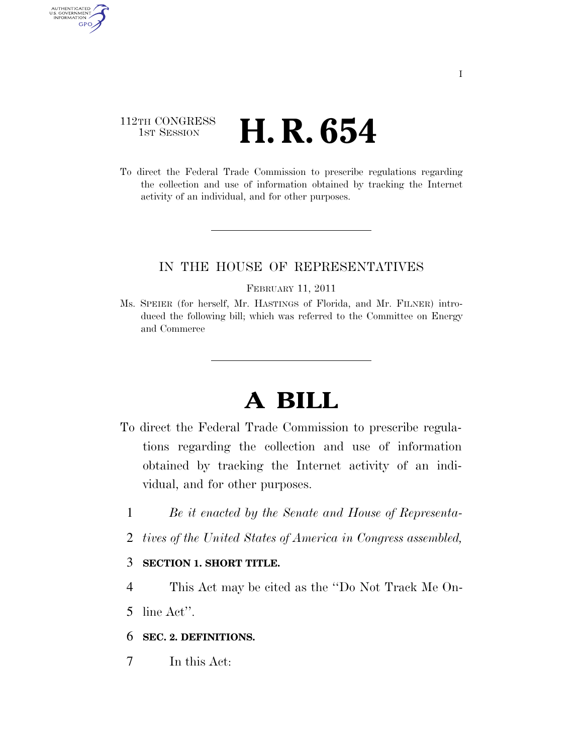## 112TH CONGRESS **1st Session H. R. 654**

AUTHENTICATED U.S. GOVERNMENT GPO

> To direct the Federal Trade Commission to prescribe regulations regarding the collection and use of information obtained by tracking the Internet activity of an individual, and for other purposes.

### IN THE HOUSE OF REPRESENTATIVES

#### FEBRUARY 11, 2011

Ms. SPEIER (for herself, Mr. HASTINGS of Florida, and Mr. FILNER) introduced the following bill; which was referred to the Committee on Energy and Commerce

# **A BILL**

- To direct the Federal Trade Commission to prescribe regulations regarding the collection and use of information obtained by tracking the Internet activity of an individual, and for other purposes.
	- 1 *Be it enacted by the Senate and House of Representa-*
	- 2 *tives of the United States of America in Congress assembled,*

### 3 **SECTION 1. SHORT TITLE.**

- 4 This Act may be cited as the ''Do Not Track Me On-
- 5 line Act''.

### 6 **SEC. 2. DEFINITIONS.**

7 In this Act: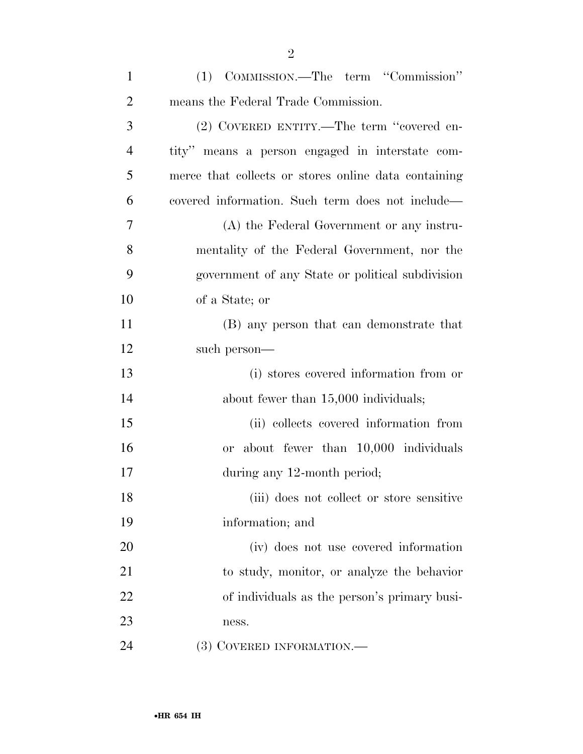| $\mathbf{1}$   | (1) COMMISSION.—The term "Commission"                |
|----------------|------------------------------------------------------|
| $\overline{2}$ | means the Federal Trade Commission.                  |
| 3              | (2) COVERED ENTITY.—The term "covered en-            |
| $\overline{4}$ | tity" means a person engaged in interstate com-      |
| 5              | merce that collects or stores online data containing |
| 6              | covered information. Such term does not include—     |
| 7              | (A) the Federal Government or any instru-            |
| 8              | mentality of the Federal Government, nor the         |
| 9              | government of any State or political subdivision     |
| 10             | of a State; or                                       |
| 11             | (B) any person that can demonstrate that             |
| 12             | such person—                                         |
| 13             | (i) stores covered information from or               |
| 14             | about fewer than 15,000 individuals;                 |
| 15             | (ii) collects covered information from               |
| 16             | or about fewer than 10,000 individuals               |
| 17             | during any 12-month period;                          |
| 18             | (iii) does not collect or store sensitive            |
| 19             | information; and                                     |
| 20             | (iv) does not use covered information                |
| 21             | to study, monitor, or analyze the behavior           |
| 22             | of individuals as the person's primary busi-         |
| 23             | ness.                                                |
| 24             | (3) COVERED INFORMATION.—                            |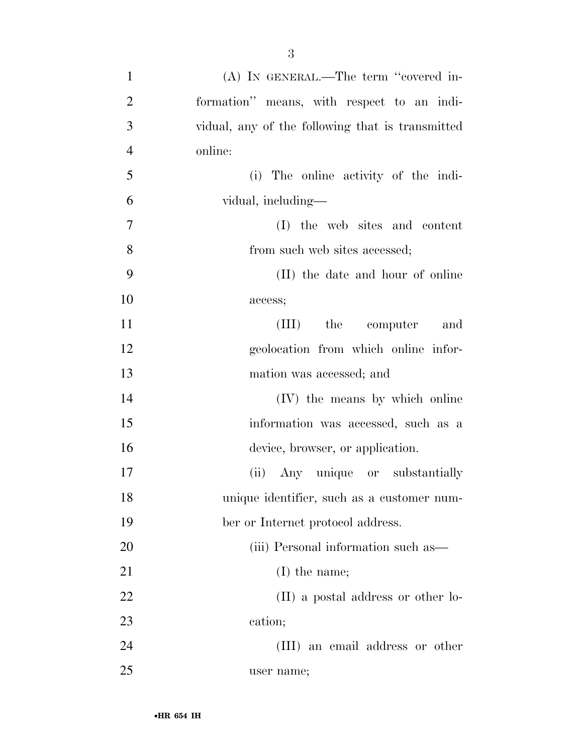| $\mathbf{1}$   | $(A)$ In GENERAL.—The term "covered in-          |
|----------------|--------------------------------------------------|
| $\overline{2}$ | formation" means, with respect to an indi-       |
| 3              | vidual, any of the following that is transmitted |
| $\overline{4}$ | online:                                          |
| 5              | (i) The online activity of the indi-             |
| 6              | vidual, including-                               |
| $\overline{7}$ | (I) the web sites and content                    |
| 8              | from such web sites accessed;                    |
| 9              | (II) the date and hour of online                 |
| 10             | access;                                          |
| 11             | (III) the computer and                           |
| 12             | geolocation from which online infor-             |
| 13             | mation was accessed; and                         |
| 14             | (IV) the means by which online                   |
| 15             | information was accessed, such as a              |
| 16             | device, browser, or application.                 |
| 17             | (ii) Any unique or substantially                 |
| 18             | unique identifier, such as a customer num-       |
| 19             | ber or Internet protocol address.                |
| 20             | (iii) Personal information such as—              |
| 21             | $(I)$ the name;                                  |
| 22             | (II) a postal address or other lo-               |
| 23             | cation;                                          |
| 24             | (III) an email address or other                  |
| 25             | user name;                                       |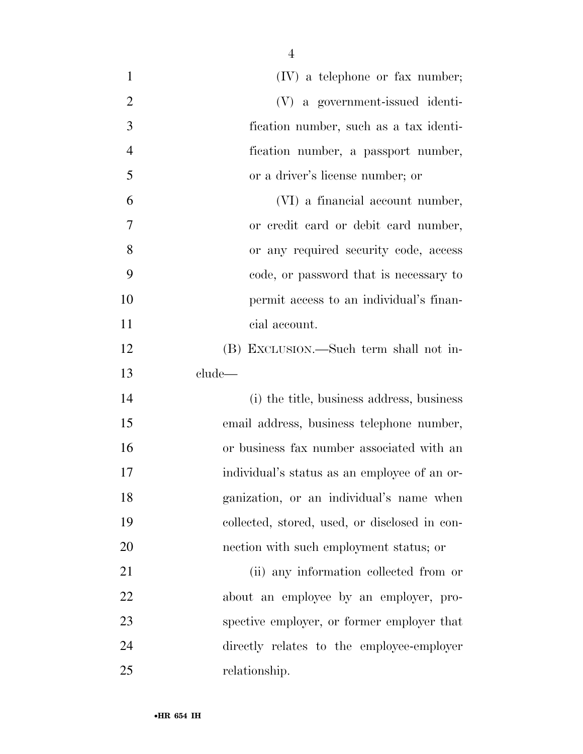| $\mathbf{1}$   | $(IV)$ a telephone or fax number;             |
|----------------|-----------------------------------------------|
| $\overline{2}$ | (V) a government-issued identi-               |
| 3              | fication number, such as a tax identi-        |
| $\overline{4}$ | fication number, a passport number,           |
| 5              | or a driver's license number; or              |
| 6              | (VI) a financial account number,              |
| 7              | or credit card or debit card number,          |
| 8              | or any required security code, access         |
| 9              | code, or password that is necessary to        |
| 10             | permit access to an individual's finan-       |
| 11             | cial account.                                 |
| 12             | (B) EXCLUSION.—Such term shall not in-        |
| 13             | clude—                                        |
| 14             | (i) the title, business address, business     |
| 15             | email address, business telephone number,     |
| 16             | or business fax number associated with an     |
| 17             | individual's status as an employee of an or-  |
| 18             | ganization, or an individual's name when      |
| 19             | collected, stored, used, or disclosed in con- |
| 20             | nection with such employment status; or       |
| 21             | (ii) any information collected from or        |
| 22             | about an employee by an employer, pro-        |
| 23             | spective employer, or former employer that    |
| 24             | directly relates to the employee-employer     |
| 25             | relationship.                                 |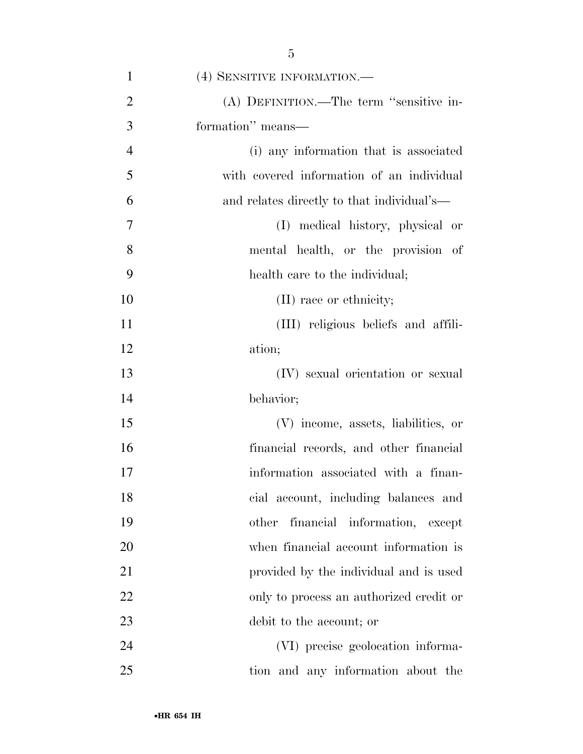| $\mathbf{1}$   | (4) SENSITIVE INFORMATION.-                |
|----------------|--------------------------------------------|
| $\overline{2}$ | (A) DEFINITION.—The term "sensitive in-    |
| 3              | formation" means—                          |
| $\overline{4}$ | (i) any information that is associated     |
| 5              | with covered information of an individual  |
| 6              | and relates directly to that individual's— |
| 7              | (I) medical history, physical or           |
| 8              | mental health, or the provision of         |
| 9              | health care to the individual;             |
| 10             | (II) race or ethnicity;                    |
| 11             | (III) religious beliefs and affili-        |
| 12             | ation;                                     |
| 13             | (IV) sexual orientation or sexual          |
| 14             | behavior;                                  |
| 15             | (V) income, assets, liabilities, or        |
| 16             | financial records, and other financial     |
| 17             | information associated with a finan-       |
| 18             | cial account, including balances and       |
| 19             | financial information, except<br>other     |
| 20             | when financial account information is      |
| 21             | provided by the individual and is used     |
| 22             | only to process an authorized credit or    |
| 23             | debit to the account; or                   |
| 24             | (VI) precise geolocation informa-          |
| 25             | tion and any information about the         |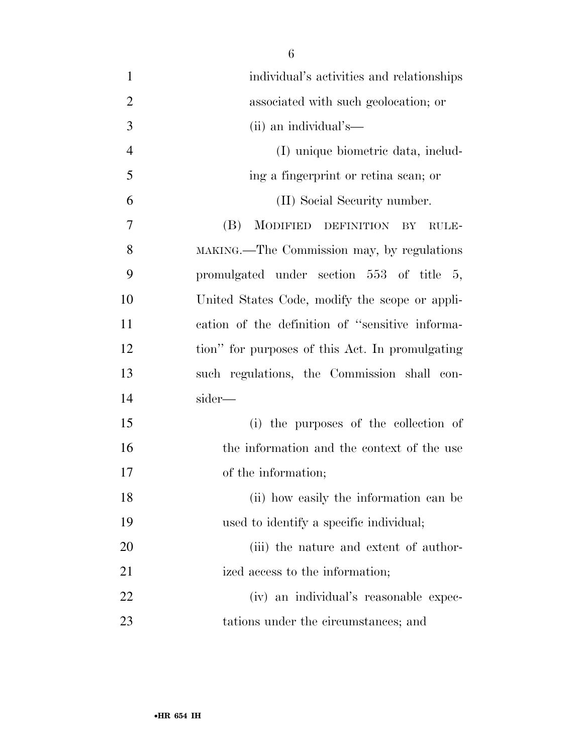| 1              | individual's activities and relationships       |
|----------------|-------------------------------------------------|
| $\overline{2}$ | associated with such geolocation; or            |
| 3              | (ii) an individual's—                           |
| $\overline{4}$ | (I) unique biometric data, includ-              |
| 5              | ing a fingerprint or retina scan; or            |
| 6              | (II) Social Security number.                    |
| 7              | (B)<br>MODIFIED DEFINITION<br>BY<br>RULE-       |
| 8              | MAKING.—The Commission may, by regulations      |
| 9              | promulgated under section 553 of title 5,       |
| 10             | United States Code, modify the scope or appli-  |
| 11             | cation of the definition of "sensitive informa- |
| 12             | tion" for purposes of this Act. In promulgating |
| 13             | such regulations, the Commission shall con-     |
| 14             | sider—                                          |
| 15             | (i) the purposes of the collection of           |
| 16             | the information and the context of the use      |
| 17             | of the information;                             |
| 18             | (ii) how easily the information can be          |
| 19             | used to identify a specific individual;         |
| 20             | (iii) the nature and extent of author-          |
| 21             | ized access to the information;                 |
| 22             | (iv) an individual's reasonable expec-          |
| 23             | tations under the circumstances; and            |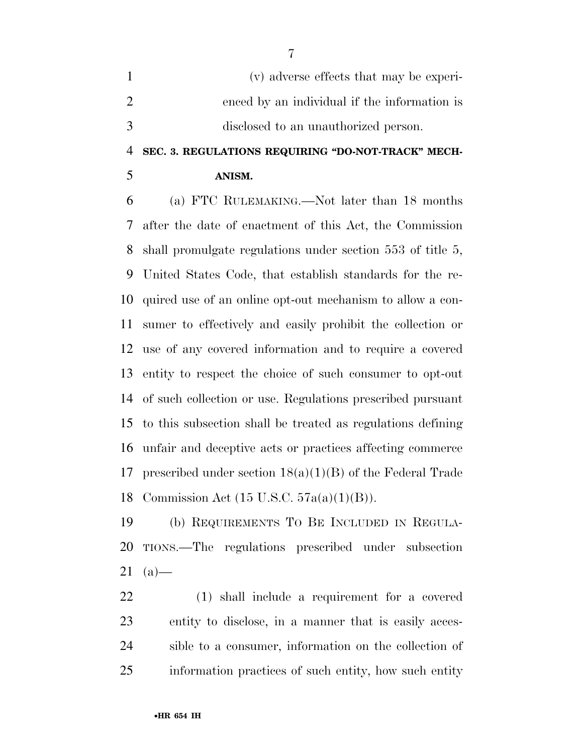(v) adverse effects that may be experi- enced by an individual if the information is disclosed to an unauthorized person.

# **SEC. 3. REGULATIONS REQUIRING ''DO-NOT-TRACK'' MECH-**

### **ANISM.**

 (a) FTC RULEMAKING.—Not later than 18 months after the date of enactment of this Act, the Commission shall promulgate regulations under section 553 of title 5, United States Code, that establish standards for the re- quired use of an online opt-out mechanism to allow a con- sumer to effectively and easily prohibit the collection or use of any covered information and to require a covered entity to respect the choice of such consumer to opt-out of such collection or use. Regulations prescribed pursuant to this subsection shall be treated as regulations defining unfair and deceptive acts or practices affecting commerce prescribed under section 18(a)(1)(B) of the Federal Trade Commission Act (15 U.S.C. 57a(a)(1)(B)).

 (b) REQUIREMENTS TO BE INCLUDED IN REGULA- TIONS.—The regulations prescribed under subsection (a)—

 (1) shall include a requirement for a covered entity to disclose, in a manner that is easily acces- sible to a consumer, information on the collection of information practices of such entity, how such entity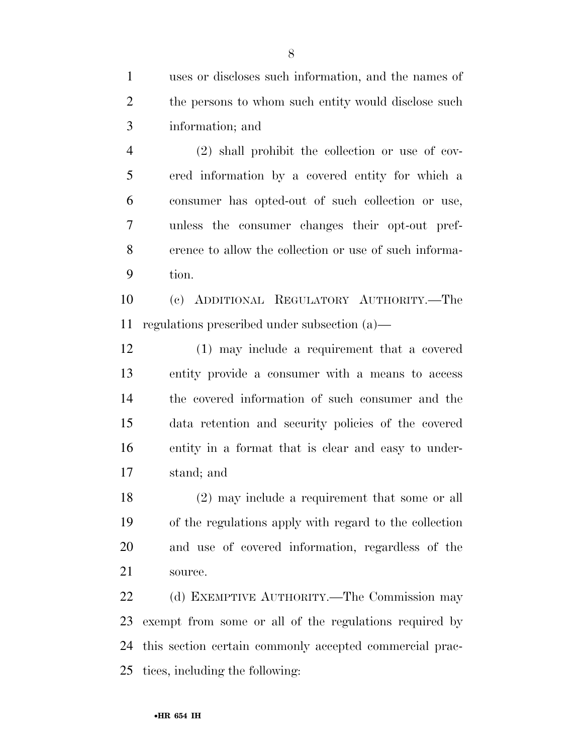uses or discloses such information, and the names of 2 the persons to whom such entity would disclose such information; and

 (2) shall prohibit the collection or use of cov- ered information by a covered entity for which a consumer has opted-out of such collection or use, unless the consumer changes their opt-out pref- erence to allow the collection or use of such informa-tion.

 (c) ADDITIONAL REGULATORY AUTHORITY.—The regulations prescribed under subsection (a)—

 (1) may include a requirement that a covered entity provide a consumer with a means to access the covered information of such consumer and the data retention and security policies of the covered entity in a format that is clear and easy to under-stand; and

 (2) may include a requirement that some or all of the regulations apply with regard to the collection and use of covered information, regardless of the source.

 (d) EXEMPTIVE AUTHORITY.—The Commission may exempt from some or all of the regulations required by this section certain commonly accepted commercial prac-tices, including the following: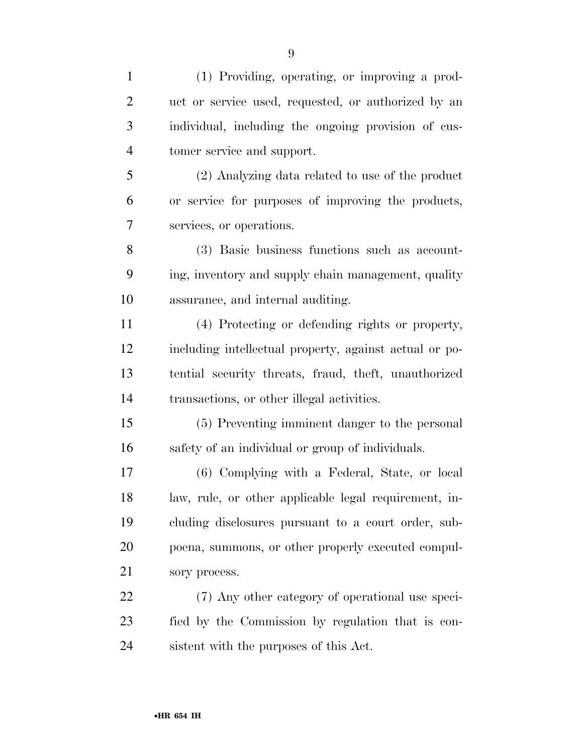| $\mathbf{1}$   | (1) Providing, operating, or improving a prod-         |
|----------------|--------------------------------------------------------|
| $\overline{2}$ | uct or service used, requested, or authorized by an    |
| 3              | individual, including the ongoing provision of cus-    |
| $\overline{4}$ | tomer service and support.                             |
| 5              | (2) Analyzing data related to use of the product       |
| 6              | or service for purposes of improving the products,     |
| 7              | services, or operations.                               |
| 8              | (3) Basic business functions such as account-          |
| 9              | ing, inventory and supply chain management, quality    |
| 10             | assurance, and internal auditing.                      |
| 11             | (4) Protecting or defending rights or property,        |
| 12             | including intellectual property, against actual or po- |
| 13             | tential security threats, fraud, theft, unauthorized   |
| 14             | transactions, or other illegal activities.             |
| 15             | (5) Preventing imminent danger to the personal         |
| 16             | safety of an individual or group of individuals.       |
| 17             | (6) Complying with a Federal, State, or local          |
| 18             | law, rule, or other applicable legal requirement, in-  |
| 19             | cluding disclosures pursuant to a court order, sub-    |
| 20             | poena, summons, or other properly executed compul-     |
| 21             | sory process.                                          |
| 22             | (7) Any other category of operational use speci-       |
| 23             | fied by the Commission by regulation that is con-      |
| 24             | sistent with the purposes of this Act.                 |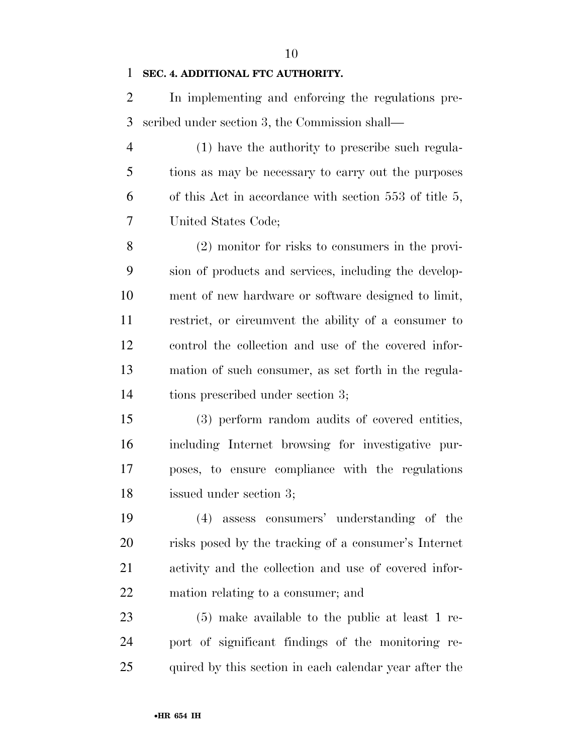### **SEC. 4. ADDITIONAL FTC AUTHORITY.**

 In implementing and enforcing the regulations pre-scribed under section 3, the Commission shall—

 (1) have the authority to prescribe such regula- tions as may be necessary to carry out the purposes of this Act in accordance with section 553 of title 5, United States Code;

 (2) monitor for risks to consumers in the provi- sion of products and services, including the develop- ment of new hardware or software designed to limit, restrict, or circumvent the ability of a consumer to control the collection and use of the covered infor- mation of such consumer, as set forth in the regula-tions prescribed under section 3;

 (3) perform random audits of covered entities, including Internet browsing for investigative pur- poses, to ensure compliance with the regulations issued under section 3;

 (4) assess consumers' understanding of the risks posed by the tracking of a consumer's Internet activity and the collection and use of covered infor-mation relating to a consumer; and

 (5) make available to the public at least 1 re- port of significant findings of the monitoring re-25 quired by this section in each calendar year after the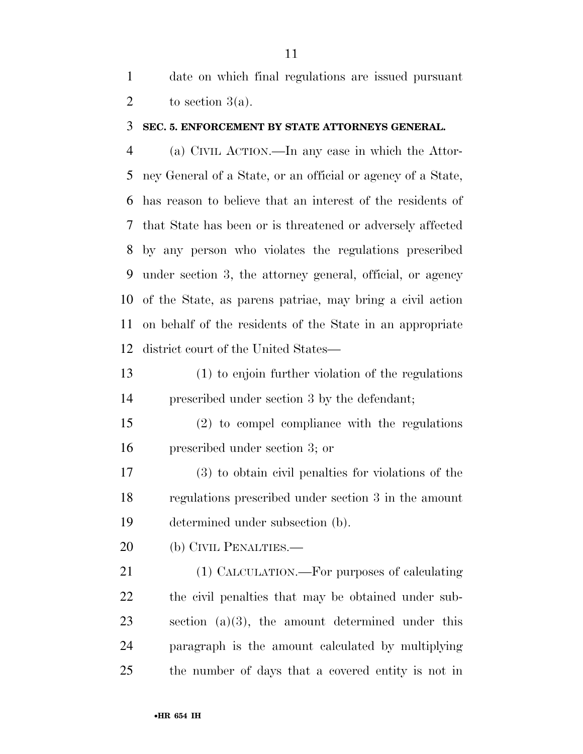date on which final regulations are issued pursuant 2 to section  $3(a)$ .

#### **SEC. 5. ENFORCEMENT BY STATE ATTORNEYS GENERAL.**

 (a) CIVIL ACTION.—In any case in which the Attor- ney General of a State, or an official or agency of a State, has reason to believe that an interest of the residents of that State has been or is threatened or adversely affected by any person who violates the regulations prescribed under section 3, the attorney general, official, or agency of the State, as parens patriae, may bring a civil action on behalf of the residents of the State in an appropriate district court of the United States—

 (1) to enjoin further violation of the regulations prescribed under section 3 by the defendant;

 (2) to compel compliance with the regulations prescribed under section 3; or

 (3) to obtain civil penalties for violations of the regulations prescribed under section 3 in the amount determined under subsection (b).

20 (b) CIVIL PENALTIES.—

21 (1) CALCULATION.—For purposes of calculating the civil penalties that may be obtained under sub- section (a)(3), the amount determined under this paragraph is the amount calculated by multiplying the number of days that a covered entity is not in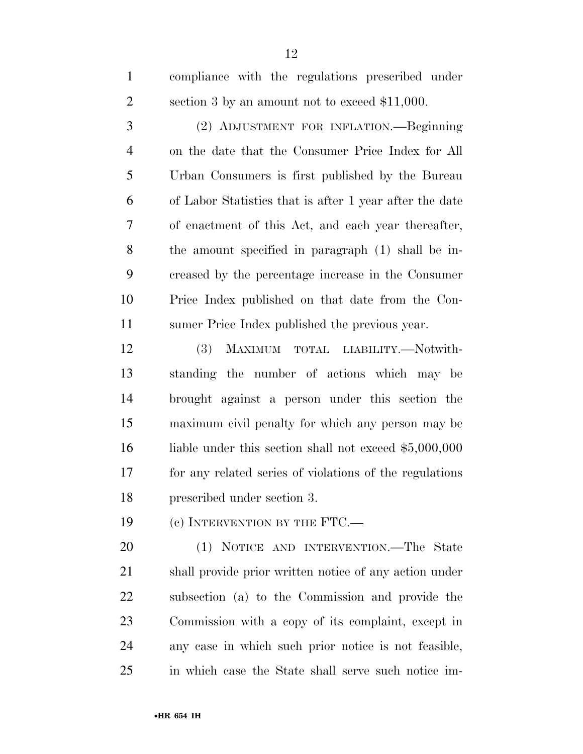compliance with the regulations prescribed under section 3 by an amount not to exceed \$11,000.

 (2) ADJUSTMENT FOR INFLATION.—Beginning on the date that the Consumer Price Index for All Urban Consumers is first published by the Bureau of Labor Statistics that is after 1 year after the date of enactment of this Act, and each year thereafter, the amount specified in paragraph (1) shall be in- creased by the percentage increase in the Consumer Price Index published on that date from the Con-sumer Price Index published the previous year.

 (3) MAXIMUM TOTAL LIABILITY.—Notwith- standing the number of actions which may be brought against a person under this section the maximum civil penalty for which any person may be 16 liable under this section shall not exceed \$5,000,000 for any related series of violations of the regulations prescribed under section 3.

19 (c) INTERVENTION BY THE FTC.—

 (1) NOTICE AND INTERVENTION.—The State shall provide prior written notice of any action under subsection (a) to the Commission and provide the Commission with a copy of its complaint, except in any case in which such prior notice is not feasible, in which case the State shall serve such notice im-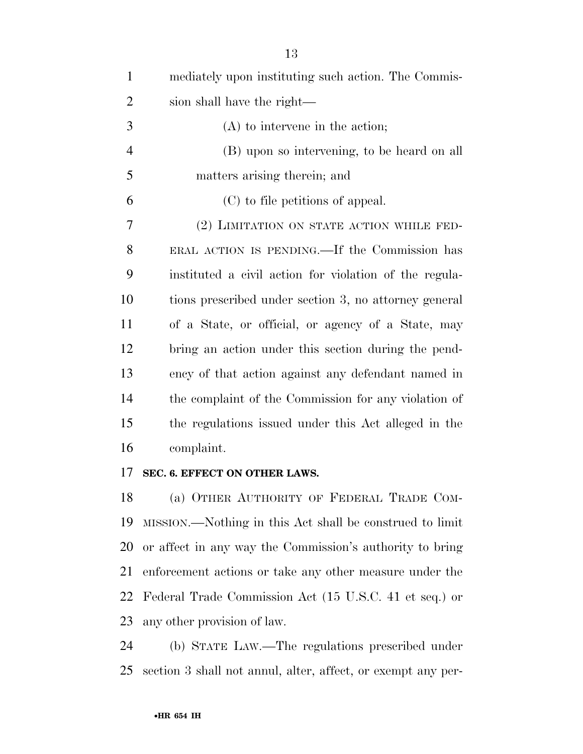| $\mathbf{1}$   | mediately upon instituting such action. The Commis-    |
|----------------|--------------------------------------------------------|
| $\overline{2}$ | sion shall have the right—                             |
| 3              | $(A)$ to intervene in the action;                      |
| $\overline{4}$ | (B) upon so intervening, to be heard on all            |
| 5              | matters arising therein; and                           |
| 6              | (C) to file petitions of appeal.                       |
| 7              | (2) LIMITATION ON STATE ACTION WHILE FED-              |
| 8              | ERAL ACTION IS PENDING.—If the Commission has          |
| 9              | instituted a civil action for violation of the regula- |
| 10             | tions prescribed under section 3, no attorney general  |
| 11             | of a State, or official, or agency of a State, may     |
| 12             | bring an action under this section during the pend-    |
| 13             | ency of that action against any defendant named in     |
| 14             | the complaint of the Commission for any violation of   |
| 15             | the regulations issued under this Act alleged in the   |
| 16             | complaint.                                             |
|                |                                                        |

### **SEC. 6. EFFECT ON OTHER LAWS.**

 (a) OTHER AUTHORITY OF FEDERAL TRADE COM- MISSION.—Nothing in this Act shall be construed to limit or affect in any way the Commission's authority to bring enforcement actions or take any other measure under the Federal Trade Commission Act (15 U.S.C. 41 et seq.) or any other provision of law.

 (b) STATE LAW.—The regulations prescribed under section 3 shall not annul, alter, affect, or exempt any per-